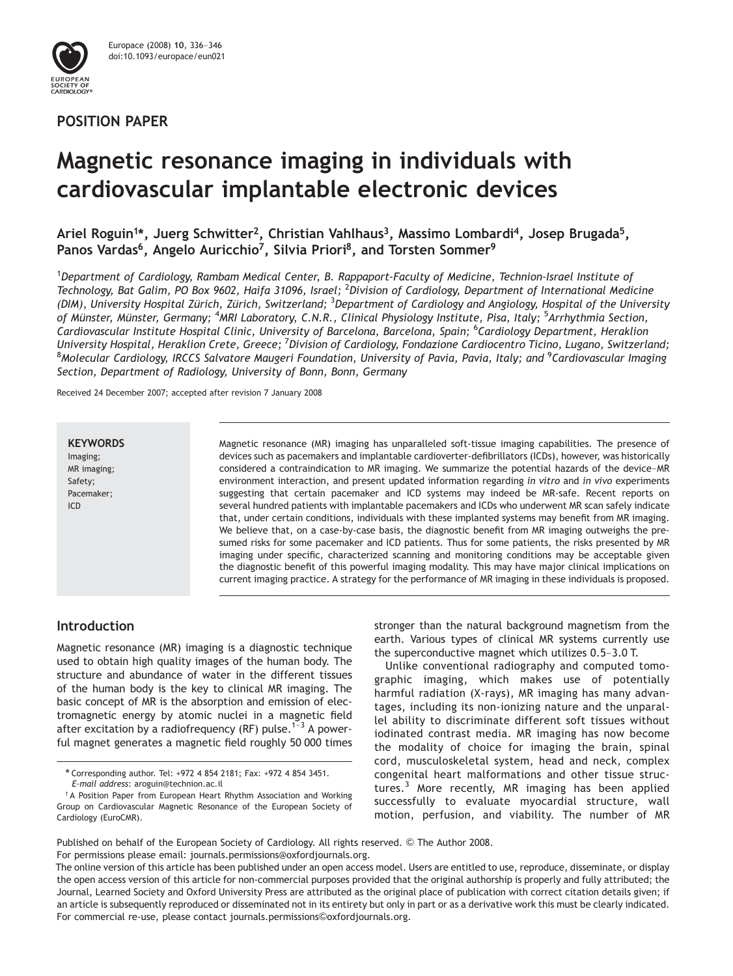# POSITION PAPER

# Magnetic resonance imaging in individuals with cardiovascular implantable electronic devices

Ariel Roguin<sup>1</sup>\*, Juerg Schwitter<sup>2</sup>, Christian Vahlhaus<sup>3</sup>, Massimo Lombardi<sup>4</sup>, Josep Brugada<sup>5</sup>, Panos Vardas<sup>6</sup>, Angelo Auricchio<sup>7</sup>, Silvia Priori<sup>8</sup>, and Torsten Sommer<sup>9</sup>

<sup>1</sup>Department of Cardiology, Rambam Medical Center, B. Rappaport-Faculty of Medicine, Technion-Israel Institute of Technology, Bat Galim, PO Box 9602, Haifa 31096, Israel; <sup>2</sup>Division of Cardiology, Department of International Medicine (DIM), University Hospital Zürich, Zürich, Switzerland; <sup>3</sup>Department of Cardiology and Angiology, Hospital of the University of Münster, Münster, Germany; <sup>4</sup>MRI Laboratory, C.N.R., Clinical Physiology Institute, Pisa, Italy; <sup>5</sup>Arrhythmia Section, Cardiovascular Institute Hospital Clinic, University of Barcelona, Barcelona, Spain; <sup>6</sup>Cardiology Department, Heraklion University Hospital, Heraklion Crete, Greece; <sup>7</sup>Division of Cardiology, Fondazione Cardiocentro Ticino, Lugano, Switzerland;<br><sup>8</sup>Molecular Cardiology, IPCCS Salvatore Maugeri Foundation, University of Pavia, Pavia, Italy; Molecular Cardiology, IRCCS Salvatore Maugeri Foundation, University of Pavia, Pavia, Italy; and <sup>9</sup>Cardiovascular Imaging Section, Department of Radiology, University of Bonn, Bonn, Germany

Received 24 December 2007; accepted after revision 7 January 2008

# **KEYWORDS** Imaging;

MR imaging; Safety; Pacemaker; ICD

Magnetic resonance (MR) imaging has unparalleled soft-tissue imaging capabilities. The presence of devices such as pacemakers and implantable cardioverter-defibrillators (ICDs), however, was historically considered a contraindication to MR imaging. We summarize the potential hazards of the device–MR environment interaction, and present updated information regarding in vitro and in vivo experiments suggesting that certain pacemaker and ICD systems may indeed be MR-safe. Recent reports on several hundred patients with implantable pacemakers and ICDs who underwent MR scan safely indicate that, under certain conditions, individuals with these implanted systems may benefit from MR imaging. We believe that, on a case-by-case basis, the diagnostic benefit from MR imaging outweighs the presumed risks for some pacemaker and ICD patients. Thus for some patients, the risks presented by MR imaging under specific, characterized scanning and monitoring conditions may be acceptable given the diagnostic benefit of this powerful imaging modality. This may have major clinical implications on current imaging practice. A strategy for the performance of MR imaging in these individuals is proposed.

# Introduction

Magnetic resonance (MR) imaging is a diagnostic technique used to obtain high quality images of the human body. The structure and abundance of water in the different tissues of the human body is the key to clinical MR imaging. The basic concept of MR is the absorption and emission of electromagnetic energy by atomic nuclei in a magnetic field after excitation by a radiofrequency (RF) pulse.<sup>1–3</sup> A powerful magnet generates a magnetic field roughly 50 000 times

† A Position Paper from European Heart Rhythm Association and Working Group on Cardiovascular Magnetic Resonance of the European Society of Cardiology (EuroCMR).

stronger than the natural background magnetism from the earth. Various types of clinical MR systems currently use the superconductive magnet which utilizes 0.5–3.0 T.

Unlike conventional radiography and computed tomographic imaging, which makes use of potentially harmful radiation (X-rays), MR imaging has many advantages, including its non-ionizing nature and the unparallel ability to discriminate different soft tissues without iodinated contrast media. MR imaging has now become the modality of choice for imaging the brain, spinal cord, musculoskeletal system, head and neck, complex congenital heart malformations and other tissue structures.<sup>3</sup> More recently, MR imaging has been applied successfully to evaluate myocardial structure, wall motion, perfusion, and viability. The number of MR

Published on behalf of the European Society of Cardiology. All rights reserved. © The Author 2008.

For permissions please email: journals.permissions@oxfordjournals.org.

The online version of this article has been published under an open access model. Users are entitled to use, reproduce, disseminate, or display the open access version of this article for non-commercial purposes provided that the original authorship is properly and fully attributed; the Journal, Learned Society and Oxford University Press are attributed as the original place of publication with correct citation details given; if an article is subsequently reproduced or disseminated not in its entirety but only in part or as a derivative work this must be clearly indicated. For commercial re-use, please contact journals.permissions©oxfordjournals.org.

<sup>\*</sup> Corresponding author. Tel: +972 4 854 2181; Fax: +972 4 854 3451.

E-mail address: aroguin@technion.ac.il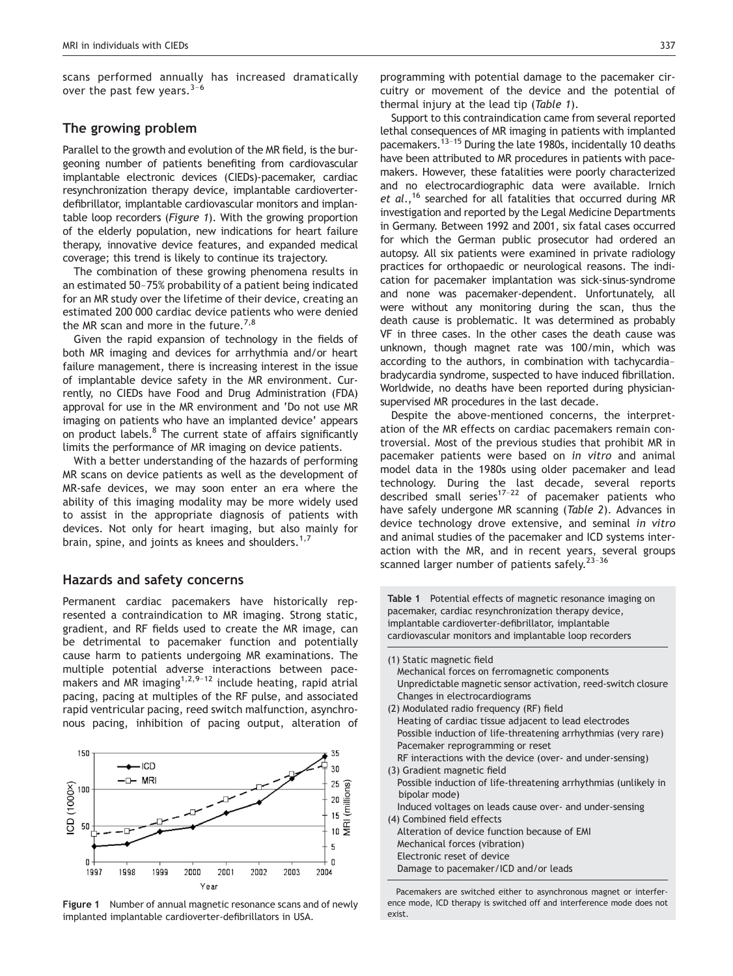scans performed annually has increased dramatically over the past few years. $3-6$ 

# The growing problem

Parallel to the growth and evolution of the MR field, is the burgeoning number of patients benefiting from cardiovascular implantable electronic devices (CIEDs)-pacemaker, cardiac resynchronization therapy device, implantable cardioverterdefibrillator, implantable cardiovascular monitors and implantable loop recorders (*Figure 1*). With the growing proportion of the elderly population, new indications for heart failure therapy, innovative device features, and expanded medical coverage; this trend is likely to continue its trajectory.

The combination of these growing phenomena results in an estimated 50–75% probability of a patient being indicated for an MR study over the lifetime of their device, creating an estimated 200 000 cardiac device patients who were denied the MR scan and more in the future.<sup>7,8</sup>

Given the rapid expansion of technology in the fields of both MR imaging and devices for arrhythmia and/or heart failure management, there is increasing interest in the issue of implantable device safety in the MR environment. Currently, no CIEDs have Food and Drug Administration (FDA) approval for use in the MR environment and 'Do not use MR imaging on patients who have an implanted device' appears on product labels.<sup>8</sup> The current state of affairs significantly limits the performance of MR imaging on device patients.

With a better understanding of the hazards of performing MR scans on device patients as well as the development of MR-safe devices, we may soon enter an era where the ability of this imaging modality may be more widely used to assist in the appropriate diagnosis of patients with devices. Not only for heart imaging, but also mainly for brain, spine, and joints as knees and shoulders.<sup>1,7</sup>

# Hazards and safety concerns

Permanent cardiac pacemakers have historically represented a contraindication to MR imaging. Strong static, gradient, and RF fields used to create the MR image, can be detrimental to pacemaker function and potentially cause harm to patients undergoing MR examinations. The multiple potential adverse interactions between pacemakers and MR imaging<sup>1,2,9-12</sup> include heating, rapid atrial pacing, pacing at multiples of the RF pulse, and associated rapid ventricular pacing, reed switch malfunction, asynchronous pacing, inhibition of pacing output, alteration of



Figure 1 Number of annual magnetic resonance scans and of newly implanted implantable cardioverter-defibrillators in USA.

programming with potential damage to the pacemaker circuitry or movement of the device and the potential of thermal injury at the lead tip  $(Table 1)$ .

Support to this contraindication came from several reported lethal consequences of MR imaging in patients with implanted pacemakers.<sup>13–15</sup> During the late 1980s, incidentally 10 deaths have been attributed to MR procedures in patients with pacemakers. However, these fatalities were poorly characterized and no electrocardiographic data were available. Irnich et  $al.$ <sup>16</sup> searched for all fatalities that occurred during MR investigation and reported by the Legal Medicine Departments in Germany. Between 1992 and 2001, six fatal cases occurred for which the German public prosecutor had ordered an autopsy. All six patients were examined in private radiology practices for orthopaedic or neurological reasons. The indication for pacemaker implantation was sick-sinus-syndrome and none was pacemaker-dependent. Unfortunately, all were without any monitoring during the scan, thus the death cause is problematic. It was determined as probably VF in three cases. In the other cases the death cause was unknown, though magnet rate was 100/min, which was according to the authors, in combination with tachycardia– bradycardia syndrome, suspected to have induced fibrillation. Worldwide, no deaths have been reported during physiciansupervised MR procedures in the last decade.

Despite the above-mentioned concerns, the interpretation of the MR effects on cardiac pacemakers remain controversial. Most of the previous studies that prohibit MR in pacemaker patients were based on in vitro and animal model data in the 1980s using older pacemaker and lead technology. During the last decade, several reports described small series $17-22$  of pacemaker patients who have safely undergone MR scanning (Table 2). Advances in device technology drove extensive, and seminal in vitro and animal studies of the pacemaker and ICD systems interaction with the MR, and in recent years, several groups scanned larger number of patients safely.<sup>23-36</sup>

Table 1 Potential effects of magnetic resonance imaging on pacemaker, cardiac resynchronization therapy device, implantable cardioverter-defibrillator, implantable cardiovascular monitors and implantable loop recorders

(1) Static magnetic field Mechanical forces on ferromagnetic components Unpredictable magnetic sensor activation, reed-switch closure Changes in electrocardiograms (2) Modulated radio frequency (RF) field Heating of cardiac tissue adjacent to lead electrodes Possible induction of life-threatening arrhythmias (very rare) Pacemaker reprogramming or reset RF interactions with the device (over- and under-sensing) (3) Gradient magnetic field Possible induction of life-threatening arrhythmias (unlikely in bipolar mode) Induced voltages on leads cause over- and under-sensing (4) Combined field effects Alteration of device function because of EMI Mechanical forces (vibration) Electronic reset of device Damage to pacemaker/ICD and/or leads

Pacemakers are switched either to asynchronous magnet or interference mode, ICD therapy is switched off and interference mode does not exist.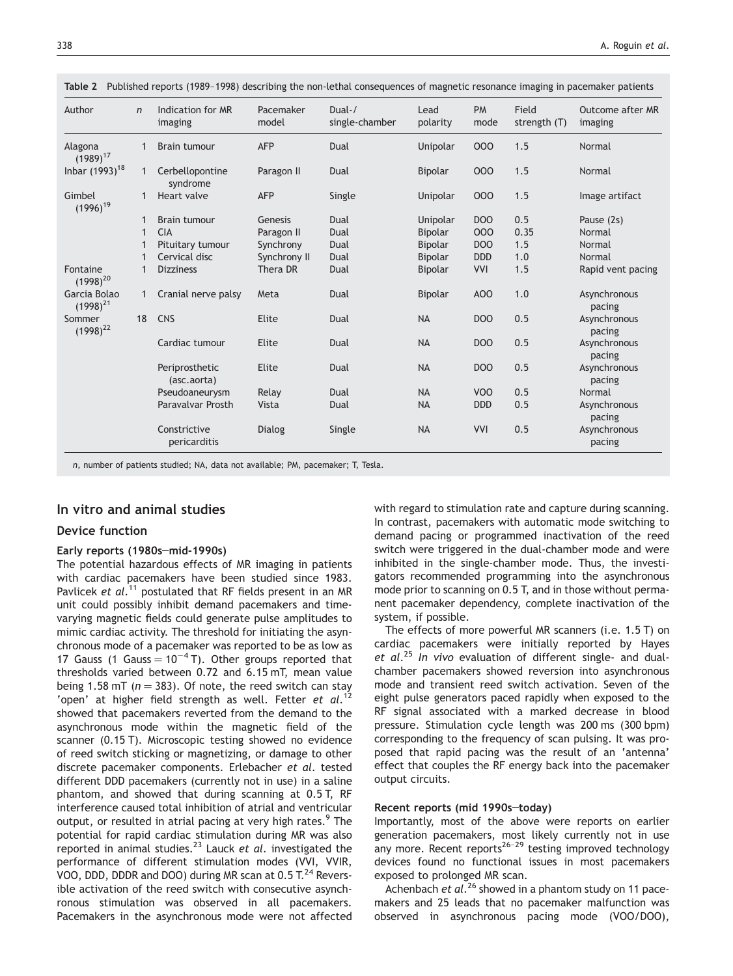| Author                        | $\mathsf{n}$ | Indication for MR<br>imaging  | Pacemaker<br>model | Dual-/<br>single-chamber | Lead<br>polarity | PM<br>mode      | Field<br>strength (T) | Outcome after MR<br>imaging |
|-------------------------------|--------------|-------------------------------|--------------------|--------------------------|------------------|-----------------|-----------------------|-----------------------------|
| Alagona<br>$(1989)^{17}$      | $\mathbf{1}$ | Brain tumour                  | <b>AFP</b>         | Dual                     | Unipolar         | 000             | 1.5                   | Normal                      |
| Inbar (1993) <sup>18</sup>    | 1            | Cerbellopontine<br>syndrome   | Paragon II         | Dual                     | <b>Bipolar</b>   | 000             | 1.5                   | Normal                      |
| Gimbel<br>$(1996)^{19}$       | 1            | Heart valve                   | <b>AFP</b>         | Single                   | Unipolar         | 000             | 1.5                   | Image artifact              |
|                               | 1            | Brain tumour                  | Genesis            | Dual                     | Unipolar         | DO <sub>O</sub> | 0.5                   | Pause (2s)                  |
|                               | $\mathbf{1}$ | <b>CIA</b>                    | Paragon II         | Dual                     | <b>Bipolar</b>   | 000             | 0.35                  | Normal                      |
|                               | 1            | Pituitary tumour              | Synchrony          | Dual                     | Bipolar          | <b>DOO</b>      | 1.5                   | Normal                      |
|                               | 1            | Cervical disc                 | Synchrony II       | Dual                     | <b>Bipolar</b>   | <b>DDD</b>      | 1.0                   | Normal                      |
| Fontaine<br>$(1998)^{20}$     | 1            | <b>Dizziness</b>              | Thera DR           | Dual                     | <b>Bipolar</b>   | <b>VVI</b>      | 1.5                   | Rapid vent pacing           |
| Garcia Bolao<br>$(1998)^{21}$ | $\mathbf{1}$ | Cranial nerve palsy           | Meta               | Dual                     | <b>Bipolar</b>   | AO <sub>O</sub> | 1.0                   | Asynchronous<br>pacing      |
| Sommer<br>$(1998)^{22}$       | 18           | <b>CNS</b>                    | Elite              | Dual                     | <b>NA</b>        | DO <sub>O</sub> | 0.5                   | Asynchronous<br>pacing      |
|                               |              | Cardiac tumour                | Elite              | Dual                     | <b>NA</b>        | DO <sub>O</sub> | 0.5                   | Asynchronous<br>pacing      |
|                               |              | Periprosthetic<br>(asc.aorta) | Elite              | Dual                     | <b>NA</b>        | DO <sub>O</sub> | 0.5                   | Asynchronous<br>pacing      |
|                               |              | Pseudoaneurysm                | Relay              | Dual                     | <b>NA</b>        | VO <sub>O</sub> | 0.5                   | Normal                      |
|                               |              | Paravalvar Prosth             | Vista              | Dual                     | <b>NA</b>        | <b>DDD</b>      | 0.5                   | Asynchronous<br>pacing      |
|                               |              | Constrictive<br>pericarditis  | Dialog             | Single                   | <b>NA</b>        | <b>VVI</b>      | 0.5                   | Asynchronous<br>pacing      |

Table 2 Published reports (1989–1998) describing the non-lethal consequences of magnetic resonance imaging in pacemaker patients

n, number of patients studied; NA, data not available; PM, pacemaker; T, Tesla.

# In vitro and animal studies

# Device function

#### Early reports (1980s–mid-1990s)

The potential hazardous effects of MR imaging in patients with cardiac pacemakers have been studied since 1983. Pavlicek et al.<sup>11</sup> postulated that RF fields present in an MR unit could possibly inhibit demand pacemakers and timevarying magnetic fields could generate pulse amplitudes to mimic cardiac activity. The threshold for initiating the asynchronous mode of a pacemaker was reported to be as low as 17 Gauss (1 Gauss =  $10^{-4}$  T). Other groups reported that thresholds varied between 0.72 and 6.15 mT, mean value being 1.58 mT ( $n = 383$ ). Of note, the reed switch can stay 'open' at higher field strength as well. Fetter et al.<sup>12</sup> showed that pacemakers reverted from the demand to the asynchronous mode within the magnetic field of the scanner (0.15 T). Microscopic testing showed no evidence of reed switch sticking or magnetizing, or damage to other discrete pacemaker components. Erlebacher et al. tested different DDD pacemakers (currently not in use) in a saline phantom, and showed that during scanning at 0.5 T, RF interference caused total inhibition of atrial and ventricular output, or resulted in atrial pacing at very high rates.<sup>9</sup> The potential for rapid cardiac stimulation during MR was also reported in animal studies.<sup>23</sup> Lauck et al. investigated the performance of different stimulation modes (VVI, VVIR, VOO, DDD, DDDR and DOO) during MR scan at  $0.5$  T.<sup>24</sup> Reversible activation of the reed switch with consecutive asynchronous stimulation was observed in all pacemakers. Pacemakers in the asynchronous mode were not affected with regard to stimulation rate and capture during scanning. In contrast, pacemakers with automatic mode switching to demand pacing or programmed inactivation of the reed switch were triggered in the dual-chamber mode and were inhibited in the single-chamber mode. Thus, the investigators recommended programming into the asynchronous mode prior to scanning on 0.5 T, and in those without permanent pacemaker dependency, complete inactivation of the system, if possible.

The effects of more powerful MR scanners (i.e. 1.5 T) on cardiac pacemakers were initially reported by Hayes et al.<sup>25</sup> In vivo evaluation of different single- and dualchamber pacemakers showed reversion into asynchronous mode and transient reed switch activation. Seven of the eight pulse generators paced rapidly when exposed to the RF signal associated with a marked decrease in blood pressure. Stimulation cycle length was 200 ms (300 bpm) corresponding to the frequency of scan pulsing. It was proposed that rapid pacing was the result of an 'antenna' effect that couples the RF energy back into the pacemaker output circuits.

## Recent reports (mid 1990s–today)

Importantly, most of the above were reports on earlier generation pacemakers, most likely currently not in use any more. Recent reports<sup>26-29</sup> testing improved technology devices found no functional issues in most pacemakers exposed to prolonged MR scan.

Achenbach et al.<sup>26</sup> showed in a phantom study on 11 pacemakers and 25 leads that no pacemaker malfunction was observed in asynchronous pacing mode (VOO/DOO),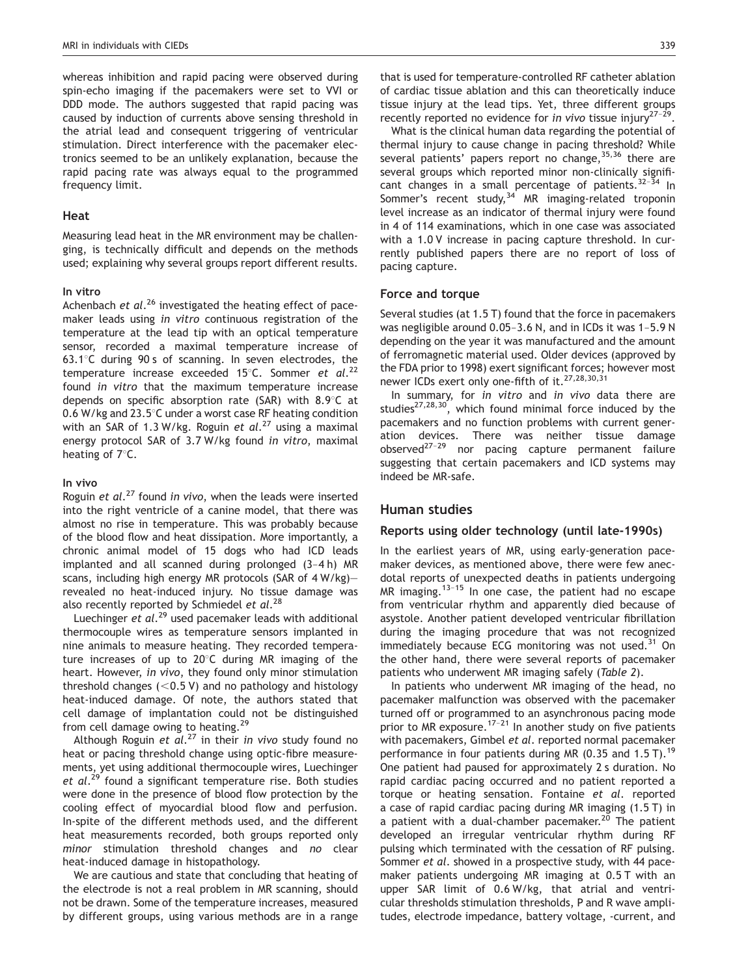whereas inhibition and rapid pacing were observed during spin-echo imaging if the pacemakers were set to VVI or DDD mode. The authors suggested that rapid pacing was caused by induction of currents above sensing threshold in the atrial lead and consequent triggering of ventricular stimulation. Direct interference with the pacemaker electronics seemed to be an unlikely explanation, because the rapid pacing rate was always equal to the programmed frequency limit.

#### Heat

Measuring lead heat in the MR environment may be challenging, is technically difficult and depends on the methods used; explaining why several groups report different results.

#### In vitro

Achenbach et al.<sup>26</sup> investigated the heating effect of pacemaker leads using in vitro continuous registration of the temperature at the lead tip with an optical temperature sensor, recorded a maximal temperature increase of 63.1 $\degree$ C during 90 s of scanning. In seven electrodes, the temperature increase exceeded 15°C. Sommer et al.<sup>22</sup> found in vitro that the maximum temperature increase depends on specific absorption rate (SAR) with  $8.9^{\circ}$ C at 0.6 W/kg and  $23.5^{\circ}$ C under a worst case RF heating condition with an SAR of 1.3 W/kg. Roguin et al.<sup>27</sup> using a maximal energy protocol SAR of 3.7 W/kg found in vitro, maximal heating of  $7^\circ$ C.

#### In vivo

Roguin et al.<sup>27</sup> found in vivo, when the leads were inserted into the right ventricle of a canine model, that there was almost no rise in temperature. This was probably because of the blood flow and heat dissipation. More importantly, a chronic animal model of 15 dogs who had ICD leads implanted and all scanned during prolonged (3–4 h) MR scans, including high energy MR protocols (SAR of 4 W/kg) revealed no heat-induced injury. No tissue damage was also recently reported by Schmiedel et al.<sup>28</sup>

Luechinger et al.<sup>29</sup> used pacemaker leads with additional thermocouple wires as temperature sensors implanted in nine animals to measure heating. They recorded temperature increases of up to  $20^{\circ}$ C during MR imaging of the heart. However, in vivo, they found only minor stimulation threshold changes  $(<0.5 V$ ) and no pathology and histology heat-induced damage. Of note, the authors stated that cell damage of implantation could not be distinguished from cell damage owing to heating.<sup>29</sup>

Although Roguin et al.<sup>27</sup> in their in vivo study found no heat or pacing threshold change using optic-fibre measurements, yet using additional thermocouple wires, Luechinger et al.<sup>29</sup> found a significant temperature rise. Both studies were done in the presence of blood flow protection by the cooling effect of myocardial blood flow and perfusion. In-spite of the different methods used, and the different heat measurements recorded, both groups reported only minor stimulation threshold changes and no clear heat-induced damage in histopathology.

We are cautious and state that concluding that heating of the electrode is not a real problem in MR scanning, should not be drawn. Some of the temperature increases, measured by different groups, using various methods are in a range

that is used for temperature-controlled RF catheter ablation of cardiac tissue ablation and this can theoretically induce tissue injury at the lead tips. Yet, three different groups recently reported no evidence for in vivo tissue injury<sup>27-29</sup>.

What is the clinical human data regarding the potential of thermal injury to cause change in pacing threshold? While several patients' papers report no change,  $35,36$  there are several groups which reported minor non-clinically significant changes in a small percentage of patients.  $32-34$  In Sommer's recent study,  $34$  MR imaging-related troponin level increase as an indicator of thermal injury were found in 4 of 114 examinations, which in one case was associated with a 1.0 V increase in pacing capture threshold. In currently published papers there are no report of loss of pacing capture.

#### Force and torque

Several studies (at 1.5 T) found that the force in pacemakers was negligible around 0.05–3.6 N, and in ICDs it was 1–5.9 N depending on the year it was manufactured and the amount of ferromagnetic material used. Older devices (approved by the FDA prior to 1998) exert significant forces; however most newer ICDs exert only one-fifth of it.<sup>27,28,30,31</sup>

In summary, for in vitro and in vivo data there are studies<sup>27,28,30</sup>, which found minimal force induced by the pacemakers and no function problems with current generation devices. There was neither tissue damage observed $27-29$  nor pacing capture permanent failure suggesting that certain pacemakers and ICD systems may indeed be MR-safe.

# Human studies

## Reports using older technology (until late-1990s)

In the earliest years of MR, using early-generation pacemaker devices, as mentioned above, there were few anecdotal reports of unexpected deaths in patients undergoing MR imaging.<sup>13–15</sup> In one case, the patient had no escape from ventricular rhythm and apparently died because of asystole. Another patient developed ventricular fibrillation during the imaging procedure that was not recognized immediately because ECG monitoring was not used.<sup>31</sup> On the other hand, there were several reports of pacemaker patients who underwent MR imaging safely (Table 2).

In patients who underwent MR imaging of the head, no pacemaker malfunction was observed with the pacemaker turned off or programmed to an asynchronous pacing mode prior to MR exposure.<sup>17-21</sup> In another study on five patients with pacemakers, Gimbel et al. reported normal pacemaker performance in four patients during MR (0.35 and 1.5 T).<sup>19</sup> One patient had paused for approximately 2 s duration. No rapid cardiac pacing occurred and no patient reported a torque or heating sensation. Fontaine et al. reported a case of rapid cardiac pacing during MR imaging (1.5 T) in a patient with a dual-chamber pacemaker.<sup>20</sup> The patient developed an irregular ventricular rhythm during RF pulsing which terminated with the cessation of RF pulsing. Sommer et al. showed in a prospective study, with 44 pacemaker patients undergoing MR imaging at 0.5 T with an upper SAR limit of 0.6 W/kg, that atrial and ventricular thresholds stimulation thresholds, P and R wave amplitudes, electrode impedance, battery voltage, -current, and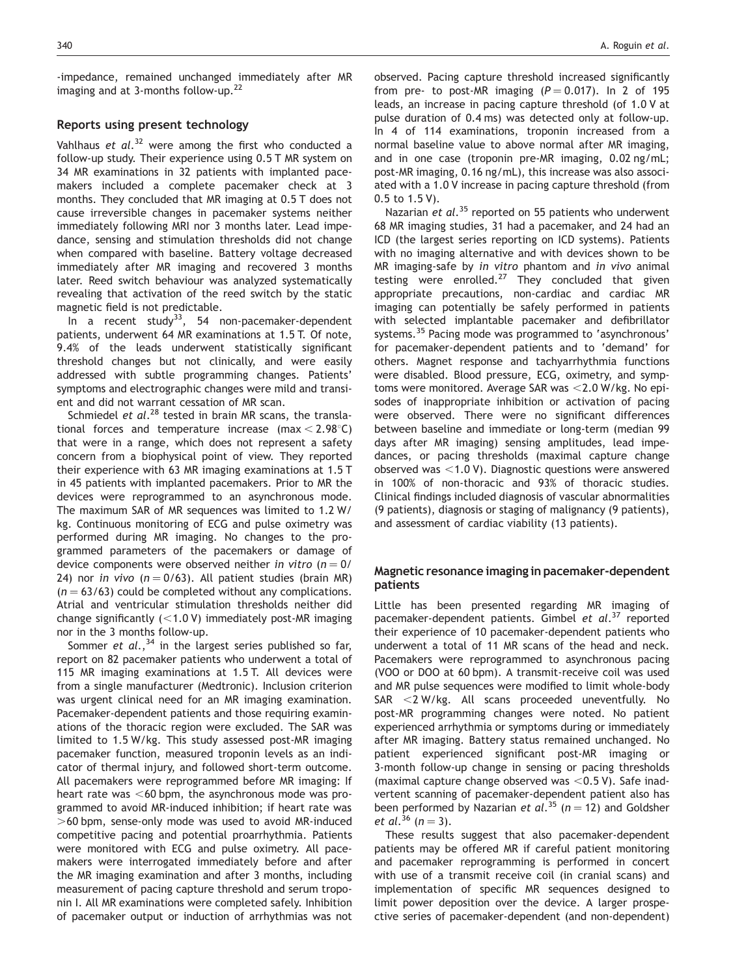-impedance, remained unchanged immediately after MR imaging and at 3-months follow-up.<sup>22</sup>

# Reports using present technology

Vahlhaus et al.<sup>32</sup> were among the first who conducted a follow-up study. Their experience using 0.5 T MR system on 34 MR examinations in 32 patients with implanted pacemakers included a complete pacemaker check at 3 months. They concluded that MR imaging at 0.5 T does not cause irreversible changes in pacemaker systems neither immediately following MRI nor 3 months later. Lead impedance, sensing and stimulation thresholds did not change when compared with baseline. Battery voltage decreased immediately after MR imaging and recovered 3 months later. Reed switch behaviour was analyzed systematically revealing that activation of the reed switch by the static magnetic field is not predictable.

In a recent study<sup>33</sup>, 54 non-pacemaker-dependent patients, underwent 64 MR examinations at 1.5 T. Of note, 9.4% of the leads underwent statistically significant threshold changes but not clinically, and were easily addressed with subtle programming changes. Patients' symptoms and electrographic changes were mild and transient and did not warrant cessation of MR scan.

Schmiedel et al.<sup>28</sup> tested in brain MR scans, the translational forces and temperature increase (max  $<$  2.98 $^{\circ}$ C) that were in a range, which does not represent a safety concern from a biophysical point of view. They reported their experience with 63 MR imaging examinations at 1.5 T in 45 patients with implanted pacemakers. Prior to MR the devices were reprogrammed to an asynchronous mode. The maximum SAR of MR sequences was limited to 1.2 W/ kg. Continuous monitoring of ECG and pulse oximetry was performed during MR imaging. No changes to the programmed parameters of the pacemakers or damage of device components were observed neither in vitro  $(n = 0)$ 24) nor in vivo ( $n = 0/63$ ). All patient studies (brain MR)  $(n = 63/63)$  could be completed without any complications. Atrial and ventricular stimulation thresholds neither did change significantly  $(<1.0 V)$  immediately post-MR imaging nor in the 3 months follow-up.

Sommer et  $al.,<sup>34</sup>$  in the largest series published so far, report on 82 pacemaker patients who underwent a total of 115 MR imaging examinations at 1.5 T. All devices were from a single manufacturer (Medtronic). Inclusion criterion was urgent clinical need for an MR imaging examination. Pacemaker-dependent patients and those requiring examinations of the thoracic region were excluded. The SAR was limited to 1.5 W/kg. This study assessed post-MR imaging pacemaker function, measured troponin levels as an indicator of thermal injury, and followed short-term outcome. All pacemakers were reprogrammed before MR imaging: If heart rate was  $<$  60 bpm, the asynchronous mode was programmed to avoid MR-induced inhibition; if heart rate was  $>60$  bpm, sense-only mode was used to avoid MR-induced competitive pacing and potential proarrhythmia. Patients were monitored with ECG and pulse oximetry. All pacemakers were interrogated immediately before and after the MR imaging examination and after 3 months, including measurement of pacing capture threshold and serum troponin I. All MR examinations were completed safely. Inhibition of pacemaker output or induction of arrhythmias was not observed. Pacing capture threshold increased significantly from pre- to post-MR imaging  $(P = 0.017)$ . In 2 of 195 leads, an increase in pacing capture threshold (of 1.0 V at pulse duration of 0.4 ms) was detected only at follow-up. In 4 of 114 examinations, troponin increased from a normal baseline value to above normal after MR imaging, and in one case (troponin pre-MR imaging, 0.02 ng/mL; post-MR imaging, 0.16 ng/mL), this increase was also associated with a 1.0 V increase in pacing capture threshold (from 0.5 to 1.5 V).

Nazarian et al.<sup>35</sup> reported on 55 patients who underwent 68 MR imaging studies, 31 had a pacemaker, and 24 had an ICD (the largest series reporting on ICD systems). Patients with no imaging alternative and with devices shown to be MR imaging-safe by in vitro phantom and in vivo animal testing were enrolled. $^{27}$  They concluded that given appropriate precautions, non-cardiac and cardiac MR imaging can potentially be safely performed in patients with selected implantable pacemaker and defibrillator systems.<sup>35</sup> Pacing mode was programmed to 'asynchronous' for pacemaker-dependent patients and to 'demand' for others. Magnet response and tachyarrhythmia functions were disabled. Blood pressure, ECG, oximetry, and symptoms were monitored. Average SAR was  $<$  2.0 W/kg. No episodes of inappropriate inhibition or activation of pacing were observed. There were no significant differences between baseline and immediate or long-term (median 99 days after MR imaging) sensing amplitudes, lead impedances, or pacing thresholds (maximal capture change observed was  $<$ 1.0 V). Diagnostic questions were answered in 100% of non-thoracic and 93% of thoracic studies. Clinical findings included diagnosis of vascular abnormalities (9 patients), diagnosis or staging of malignancy (9 patients), and assessment of cardiac viability (13 patients).

### Magnetic resonance imaging in pacemaker-dependent patients

Little has been presented regarding MR imaging of pacemaker-dependent patients. Gimbel et al.<sup>37</sup> reported their experience of 10 pacemaker-dependent patients who underwent a total of 11 MR scans of the head and neck. Pacemakers were reprogrammed to asynchronous pacing (VOO or DOO at 60 bpm). A transmit-receive coil was used and MR pulse sequences were modified to limit whole-body  $SAR < 2$  W/kg. All scans proceeded uneventfully. No post-MR programming changes were noted. No patient experienced arrhythmia or symptoms during or immediately after MR imaging. Battery status remained unchanged. No patient experienced significant post-MR imaging or 3-month follow-up change in sensing or pacing thresholds (maximal capture change observed was  $<$  0.5 V). Safe inadvertent scanning of pacemaker-dependent patient also has been performed by Nazarian et al.<sup>35</sup> ( $n = 12$ ) and Goldsher et al.<sup>36</sup> ( $n = 3$ ).

These results suggest that also pacemaker-dependent patients may be offered MR if careful patient monitoring and pacemaker reprogramming is performed in concert with use of a transmit receive coil (in cranial scans) and implementation of specific MR sequences designed to limit power deposition over the device. A larger prospective series of pacemaker-dependent (and non-dependent)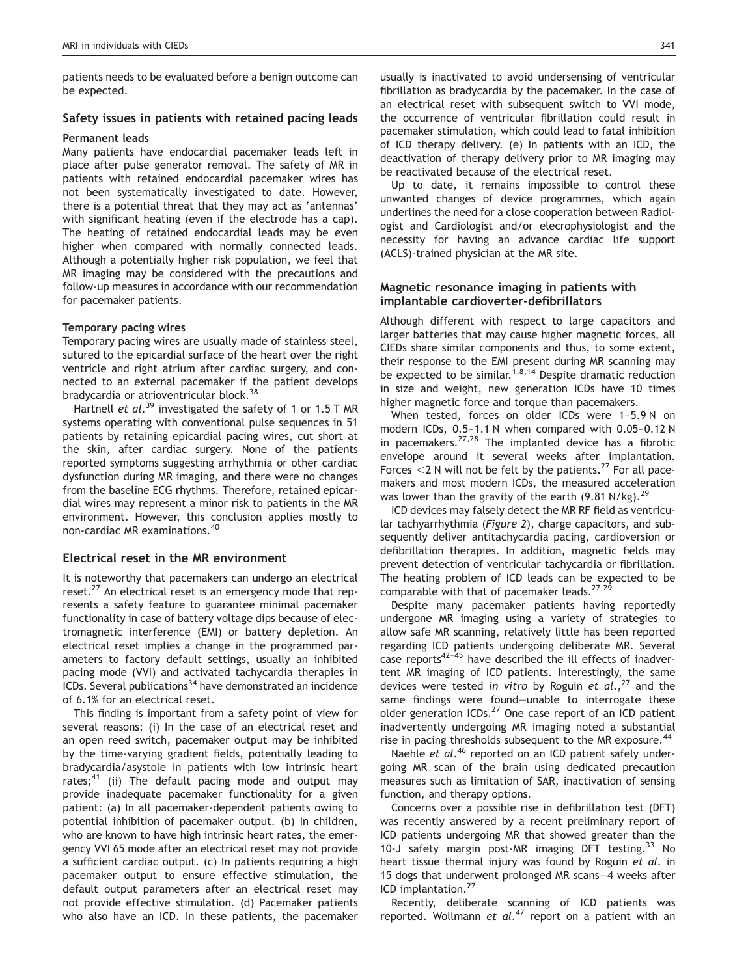patients needs to be evaluated before a benign outcome can be expected.

# Safety issues in patients with retained pacing leads

#### Permanent leads

Many patients have endocardial pacemaker leads left in place after pulse generator removal. The safety of MR in patients with retained endocardial pacemaker wires has not been systematically investigated to date. However, there is a potential threat that they may act as 'antennas' with significant heating (even if the electrode has a cap). The heating of retained endocardial leads may be even higher when compared with normally connected leads. Although a potentially higher risk population, we feel that MR imaging may be considered with the precautions and follow-up measures in accordance with our recommendation for pacemaker patients.

#### Temporary pacing wires

Temporary pacing wires are usually made of stainless steel, sutured to the epicardial surface of the heart over the right ventricle and right atrium after cardiac surgery, and connected to an external pacemaker if the patient develops bradycardia or atrioventricular block.<sup>38</sup>

Hartnell et al.<sup>39</sup> investigated the safety of 1 or 1.5 T MR systems operating with conventional pulse sequences in 51 patients by retaining epicardial pacing wires, cut short at the skin, after cardiac surgery. None of the patients reported symptoms suggesting arrhythmia or other cardiac dysfunction during MR imaging, and there were no changes from the baseline ECG rhythms. Therefore, retained epicardial wires may represent a minor risk to patients in the MR environment. However, this conclusion applies mostly to non-cardiac MR examinations.40

# Electrical reset in the MR environment

It is noteworthy that pacemakers can undergo an electrical reset. $27$  An electrical reset is an emergency mode that represents a safety feature to guarantee minimal pacemaker functionality in case of battery voltage dips because of electromagnetic interference (EMI) or battery depletion. An electrical reset implies a change in the programmed parameters to factory default settings, usually an inhibited pacing mode (VVI) and activated tachycardia therapies in  $ICDs$ . Several publications<sup>34</sup> have demonstrated an incidence of 6.1% for an electrical reset.

This finding is important from a safety point of view for several reasons: (i) In the case of an electrical reset and an open reed switch, pacemaker output may be inhibited by the time-varying gradient fields, potentially leading to bradycardia/asystole in patients with low intrinsic heart rates; $41$  (ii) The default pacing mode and output may provide inadequate pacemaker functionality for a given patient: (a) In all pacemaker-dependent patients owing to potential inhibition of pacemaker output. (b) In children, who are known to have high intrinsic heart rates, the emergency VVI 65 mode after an electrical reset may not provide a sufficient cardiac output. (c) In patients requiring a high pacemaker output to ensure effective stimulation, the default output parameters after an electrical reset may not provide effective stimulation. (d) Pacemaker patients who also have an ICD. In these patients, the pacemaker

usually is inactivated to avoid undersensing of ventricular fibrillation as bradycardia by the pacemaker. In the case of an electrical reset with subsequent switch to VVI mode, the occurrence of ventricular fibrillation could result in pacemaker stimulation, which could lead to fatal inhibition of ICD therapy delivery. (e) In patients with an ICD, the deactivation of therapy delivery prior to MR imaging may be reactivated because of the electrical reset.

Up to date, it remains impossible to control these unwanted changes of device programmes, which again underlines the need for a close cooperation between Radiologist and Cardiologist and/or elecrophysiologist and the necessity for having an advance cardiac life support (ACLS)-trained physician at the MR site.

#### Magnetic resonance imaging in patients with implantable cardioverter-defibrillators

Although different with respect to large capacitors and larger batteries that may cause higher magnetic forces, all CIEDs share similar components and thus, to some extent, their response to the EMI present during MR scanning may be expected to be similar.<sup>1,8,14</sup> Despite dramatic reduction in size and weight, new generation ICDs have 10 times higher magnetic force and torque than pacemakers.

When tested, forces on older ICDs were 1–5.9 N on modern ICDs, 0.5–1.1 N when compared with 0.05–0.12 N in pacemakers. $27,28$  The implanted device has a fibrotic envelope around it several weeks after implantation. Forces  $<$  2 N will not be felt by the patients.<sup>27</sup> For all pacemakers and most modern ICDs, the measured acceleration was lower than the gravity of the earth  $(9.81 \text{ N/kg})$ .<sup>29</sup>

ICD devices may falsely detect the MR RF field as ventricular tachyarrhythmia (Figure 2), charge capacitors, and subsequently deliver antitachycardia pacing, cardioversion or defibrillation therapies. In addition, magnetic fields may prevent detection of ventricular tachycardia or fibrillation. The heating problem of ICD leads can be expected to be comparable with that of pacemaker leads. $27,29$ 

Despite many pacemaker patients having reportedly undergone MR imaging using a variety of strategies to allow safe MR scanning, relatively little has been reported regarding ICD patients undergoing deliberate MR. Several case reports42–45 have described the ill effects of inadvertent MR imaging of ICD patients. Interestingly, the same devices were tested in vitro by Roguin et  $aL<sub>1</sub><sup>27</sup>$  and the same findings were found—unable to interrogate these older generation  $ICDs<sup>27</sup>$  One case report of an ICD patient inadvertently undergoing MR imaging noted a substantial rise in pacing thresholds subsequent to the MR exposure.<sup>44</sup>

Naehle et al.<sup>46</sup> reported on an ICD patient safely undergoing MR scan of the brain using dedicated precaution measures such as limitation of SAR, inactivation of sensing function, and therapy options.

Concerns over a possible rise in defibrillation test (DFT) was recently answered by a recent preliminary report of ICD patients undergoing MR that showed greater than the 10-J safety margin post-MR imaging DFT testing.  $33$  No heart tissue thermal injury was found by Roguin et al. in 15 dogs that underwent prolonged MR scans—4 weeks after ICD implantation.<sup>27</sup>

Recently, deliberate scanning of ICD patients was reported. Wollmann et al.<sup>47</sup> report on a patient with an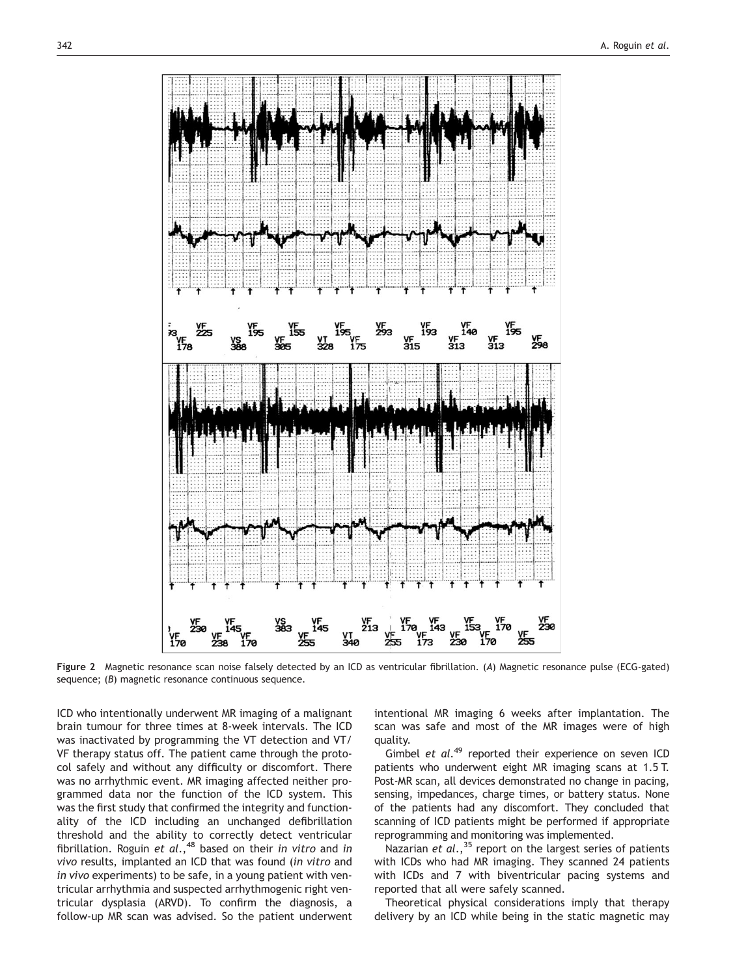

Figure 2 Magnetic resonance scan noise falsely detected by an ICD as ventricular fibrillation. (A) Magnetic resonance pulse (ECG-gated) sequence; (B) magnetic resonance continuous sequence.

ICD who intentionally underwent MR imaging of a malignant brain tumour for three times at 8-week intervals. The ICD was inactivated by programming the VT detection and VT/ VF therapy status off. The patient came through the protocol safely and without any difficulty or discomfort. There was no arrhythmic event. MR imaging affected neither programmed data nor the function of the ICD system. This was the first study that confirmed the integrity and functionality of the ICD including an unchanged defibrillation threshold and the ability to correctly detect ventricular fibrillation. Roguin et  $aL<sub>1</sub><sup>48</sup>$  based on their in vitro and in vivo results, implanted an ICD that was found (in vitro and in vivo experiments) to be safe, in a young patient with ventricular arrhythmia and suspected arrhythmogenic right ventricular dysplasia (ARVD). To confirm the diagnosis, a follow-up MR scan was advised. So the patient underwent intentional MR imaging 6 weeks after implantation. The scan was safe and most of the MR images were of high quality.

Gimbel et al.<sup>49</sup> reported their experience on seven ICD patients who underwent eight MR imaging scans at 1.5 T. Post-MR scan, all devices demonstrated no change in pacing, sensing, impedances, charge times, or battery status. None of the patients had any discomfort. They concluded that scanning of ICD patients might be performed if appropriate reprogramming and monitoring was implemented.

Nazarian et  $al.,$ <sup>35</sup> report on the largest series of patients with ICDs who had MR imaging. They scanned 24 patients with ICDs and 7 with biventricular pacing systems and reported that all were safely scanned.

Theoretical physical considerations imply that therapy delivery by an ICD while being in the static magnetic may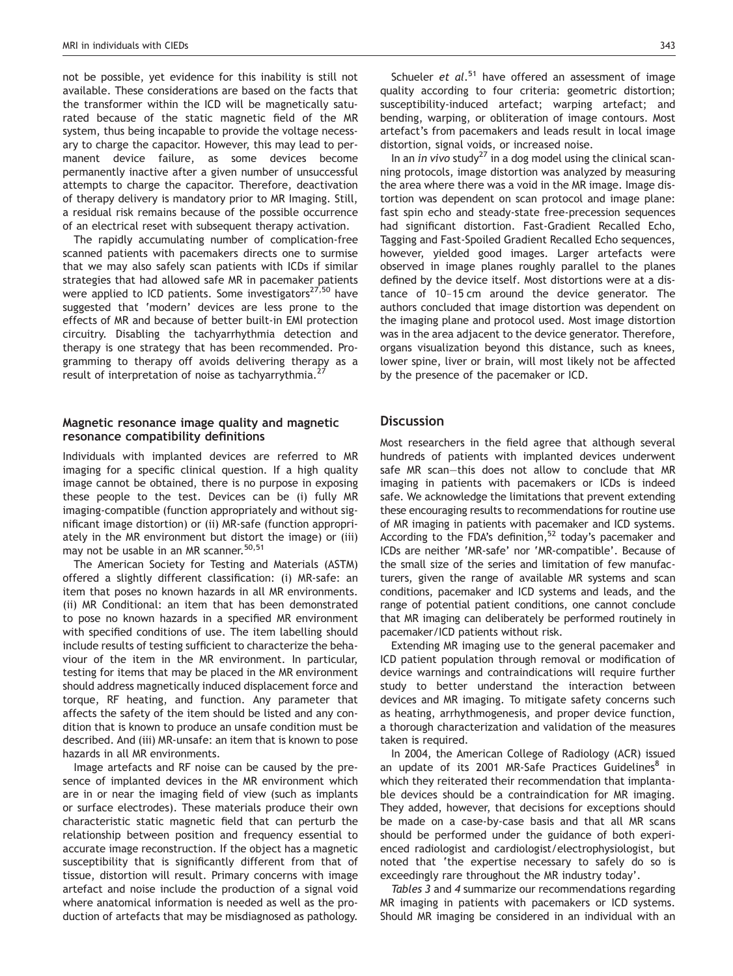not be possible, yet evidence for this inability is still not available. These considerations are based on the facts that the transformer within the ICD will be magnetically saturated because of the static magnetic field of the MR system, thus being incapable to provide the voltage necessary to charge the capacitor. However, this may lead to permanent device failure, as some devices become permanently inactive after a given number of unsuccessful attempts to charge the capacitor. Therefore, deactivation of therapy delivery is mandatory prior to MR Imaging. Still, a residual risk remains because of the possible occurrence of an electrical reset with subsequent therapy activation.

The rapidly accumulating number of complication-free scanned patients with pacemakers directs one to surmise that we may also safely scan patients with ICDs if similar strategies that had allowed safe MR in pacemaker patients were applied to ICD patients. Some investigators $27,50$  have suggested that 'modern' devices are less prone to the effects of MR and because of better built-in EMI protection circuitry. Disabling the tachyarrhythmia detection and therapy is one strategy that has been recommended. Programming to therapy off avoids delivering therapy as a result of interpretation of noise as tachyarrythmia.<sup>27</sup>

#### Magnetic resonance image quality and magnetic resonance compatibility definitions

Individuals with implanted devices are referred to MR imaging for a specific clinical question. If a high quality image cannot be obtained, there is no purpose in exposing these people to the test. Devices can be (i) fully MR imaging-compatible (function appropriately and without significant image distortion) or (ii) MR-safe (function appropriately in the MR environment but distort the image) or (iii) may not be usable in an MR scanner.<sup>50,51</sup>

The American Society for Testing and Materials (ASTM) offered a slightly different classification: (i) MR-safe: an item that poses no known hazards in all MR environments. (ii) MR Conditional: an item that has been demonstrated to pose no known hazards in a specified MR environment with specified conditions of use. The item labelling should include results of testing sufficient to characterize the behaviour of the item in the MR environment. In particular, testing for items that may be placed in the MR environment should address magnetically induced displacement force and torque, RF heating, and function. Any parameter that affects the safety of the item should be listed and any condition that is known to produce an unsafe condition must be described. And (iii) MR-unsafe: an item that is known to pose hazards in all MR environments.

Image artefacts and RF noise can be caused by the presence of implanted devices in the MR environment which are in or near the imaging field of view (such as implants or surface electrodes). These materials produce their own characteristic static magnetic field that can perturb the relationship between position and frequency essential to accurate image reconstruction. If the object has a magnetic susceptibility that is significantly different from that of tissue, distortion will result. Primary concerns with image artefact and noise include the production of a signal void where anatomical information is needed as well as the production of artefacts that may be misdiagnosed as pathology.

Schueler et al.<sup>51</sup> have offered an assessment of image quality according to four criteria: geometric distortion; susceptibility-induced artefact; warping artefact; and bending, warping, or obliteration of image contours. Most artefact's from pacemakers and leads result in local image distortion, signal voids, or increased noise.

In an in vivo study<sup>27</sup> in a dog model using the clinical scanning protocols, image distortion was analyzed by measuring the area where there was a void in the MR image. Image distortion was dependent on scan protocol and image plane: fast spin echo and steady-state free-precession sequences had significant distortion. Fast-Gradient Recalled Echo, Tagging and Fast-Spoiled Gradient Recalled Echo sequences, however, yielded good images. Larger artefacts were observed in image planes roughly parallel to the planes defined by the device itself. Most distortions were at a distance of 10–15 cm around the device generator. The authors concluded that image distortion was dependent on the imaging plane and protocol used. Most image distortion was in the area adjacent to the device generator. Therefore, organs visualization beyond this distance, such as knees, lower spine, liver or brain, will most likely not be affected by the presence of the pacemaker or ICD.

# **Discussion**

Most researchers in the field agree that although several hundreds of patients with implanted devices underwent safe MR scan—this does not allow to conclude that MR imaging in patients with pacemakers or ICDs is indeed safe. We acknowledge the limitations that prevent extending these encouraging results to recommendations for routine use of MR imaging in patients with pacemaker and ICD systems. According to the FDA's definition,  $52$  today's pacemaker and ICDs are neither 'MR-safe' nor 'MR-compatible'. Because of the small size of the series and limitation of few manufacturers, given the range of available MR systems and scan conditions, pacemaker and ICD systems and leads, and the range of potential patient conditions, one cannot conclude that MR imaging can deliberately be performed routinely in pacemaker/ICD patients without risk.

Extending MR imaging use to the general pacemaker and ICD patient population through removal or modification of device warnings and contraindications will require further study to better understand the interaction between devices and MR imaging. To mitigate safety concerns such as heating, arrhythmogenesis, and proper device function, a thorough characterization and validation of the measures taken is required.

In 2004, the American College of Radiology (ACR) issued an update of its 2001 MR-Safe Practices Guidelines<sup>8</sup> in which they reiterated their recommendation that implantable devices should be a contraindication for MR imaging. They added, however, that decisions for exceptions should be made on a case-by-case basis and that all MR scans should be performed under the guidance of both experienced radiologist and cardiologist/electrophysiologist, but noted that 'the expertise necessary to safely do so is exceedingly rare throughout the MR industry today'.

Tables 3 and 4 summarize our recommendations regarding MR imaging in patients with pacemakers or ICD systems. Should MR imaging be considered in an individual with an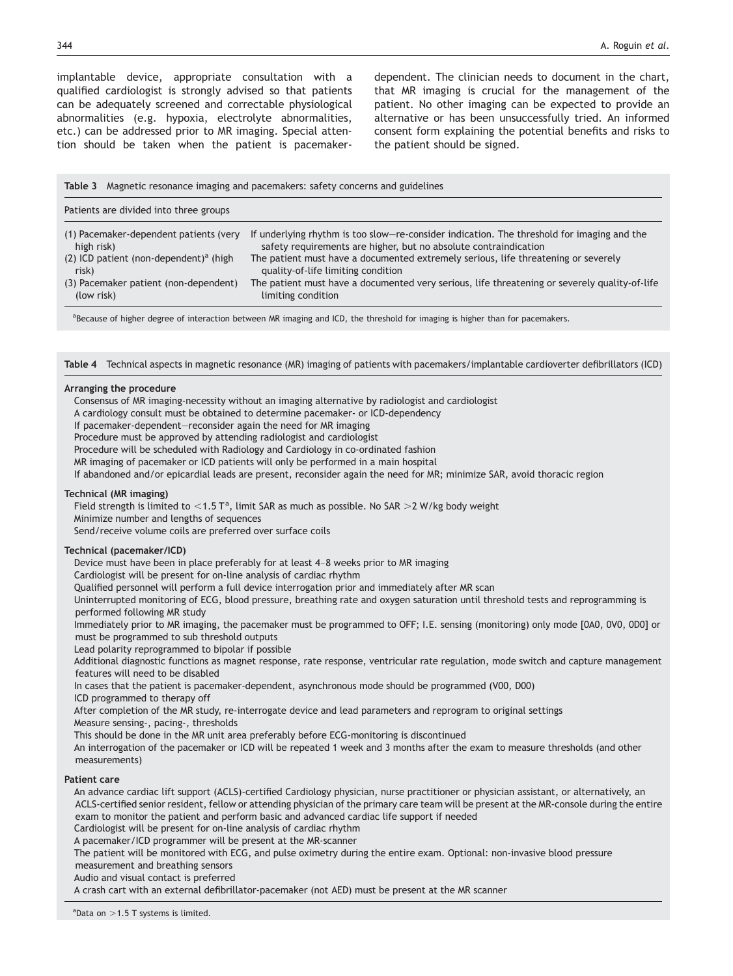implantable device, appropriate consultation with a qualified cardiologist is strongly advised so that patients can be adequately screened and correctable physiological abnormalities (e.g. hypoxia, electrolyte abnormalities, etc.) can be addressed prior to MR imaging. Special attention should be taken when the patient is pacemakerdependent. The clinician needs to document in the chart, that MR imaging is crucial for the management of the patient. No other imaging can be expected to provide an alternative or has been unsuccessfully tried. An informed consent form explaining the potential benefits and risks to the patient should be signed.

Table 3 Magnetic resonance imaging and pacemakers: safety concerns and guidelines

| Patients are divided into three groups                                                                                                                                     |                                                                                                                                                                                                                                                                                                                                                                                                                   |  |  |  |  |  |  |
|----------------------------------------------------------------------------------------------------------------------------------------------------------------------------|-------------------------------------------------------------------------------------------------------------------------------------------------------------------------------------------------------------------------------------------------------------------------------------------------------------------------------------------------------------------------------------------------------------------|--|--|--|--|--|--|
| (1) Pacemaker-dependent patients (very<br>high risk)<br>(2) ICD patient (non-dependent) <sup>a</sup> (high<br>risk)<br>(3) Pacemaker patient (non-dependent)<br>(low risk) | If underlying rhythm is too slow-re-consider indication. The threshold for imaging and the<br>safety requirements are higher, but no absolute contraindication<br>The patient must have a documented extremely serious, life threatening or severely<br>quality-of-life limiting condition<br>The patient must have a documented very serious, life threatening or severely quality-of-life<br>limiting condition |  |  |  |  |  |  |
|                                                                                                                                                                            |                                                                                                                                                                                                                                                                                                                                                                                                                   |  |  |  |  |  |  |

<sup>a</sup>Because of higher degree of interaction between MR imaging and ICD, the threshold for imaging is higher than for pacemakers.

Table 4 Technical aspects in magnetic resonance (MR) imaging of patients with pacemakers/implantable cardioverter defibrillators (ICD)

#### Arranging the procedure

Consensus of MR imaging-necessity without an imaging alternative by radiologist and cardiologist

A cardiology consult must be obtained to determine pacemaker- or ICD-dependency

If pacemaker-dependent—reconsider again the need for MR imaging

Procedure must be approved by attending radiologist and cardiologist

Procedure will be scheduled with Radiology and Cardiology in co-ordinated fashion

MR imaging of pacemaker or ICD patients will only be performed in a main hospital

If abandoned and/or epicardial leads are present, reconsider again the need for MR; minimize SAR, avoid thoracic region

#### Technical (MR imaging)

Field strength is limited to  $\leq 1.5$  T<sup>a</sup>, limit SAR as much as possible. No SAR > 2 W/kg body weight Minimize number and lengths of sequences Send/receive volume coils are preferred over surface coils

#### Technical (pacemaker/ICD)

Device must have been in place preferably for at least 4–8 weeks prior to MR imaging

Cardiologist will be present for on-line analysis of cardiac rhythm

Qualified personnel will perform a full device interrogation prior and immediately after MR scan

Uninterrupted monitoring of ECG, blood pressure, breathing rate and oxygen saturation until threshold tests and reprogramming is performed following MR study

Immediately prior to MR imaging, the pacemaker must be programmed to OFF; I.E. sensing (monitoring) only mode [0A0, 0V0, 0D0] or must be programmed to sub threshold outputs

Lead polarity reprogrammed to bipolar if possible

Additional diagnostic functions as magnet response, rate response, ventricular rate regulation, mode switch and capture management features will need to be disabled

In cases that the patient is pacemaker-dependent, asynchronous mode should be programmed (V00, D00)

ICD programmed to therapy off

After completion of the MR study, re-interrogate device and lead parameters and reprogram to original settings

Measure sensing-, pacing-, thresholds

This should be done in the MR unit area preferably before ECG-monitoring is discontinued

An interrogation of the pacemaker or ICD will be repeated 1 week and 3 months after the exam to measure thresholds (and other measurements)

#### Patient care

An advance cardiac lift support (ACLS)-certified Cardiology physician, nurse practitioner or physician assistant, or alternatively, an ACLS-certified senior resident, fellow or attending physician of the primary care team will be present at the MR-console during the entire exam to monitor the patient and perform basic and advanced cardiac life support if needed

Cardiologist will be present for on-line analysis of cardiac rhythm

A pacemaker/ICD programmer will be present at the MR-scanner

The patient will be monitored with ECG, and pulse oximetry during the entire exam. Optional: non-invasive blood pressure measurement and breathing sensors

Audio and visual contact is preferred

A crash cart with an external defibrillator-pacemaker (not AED) must be present at the MR scanner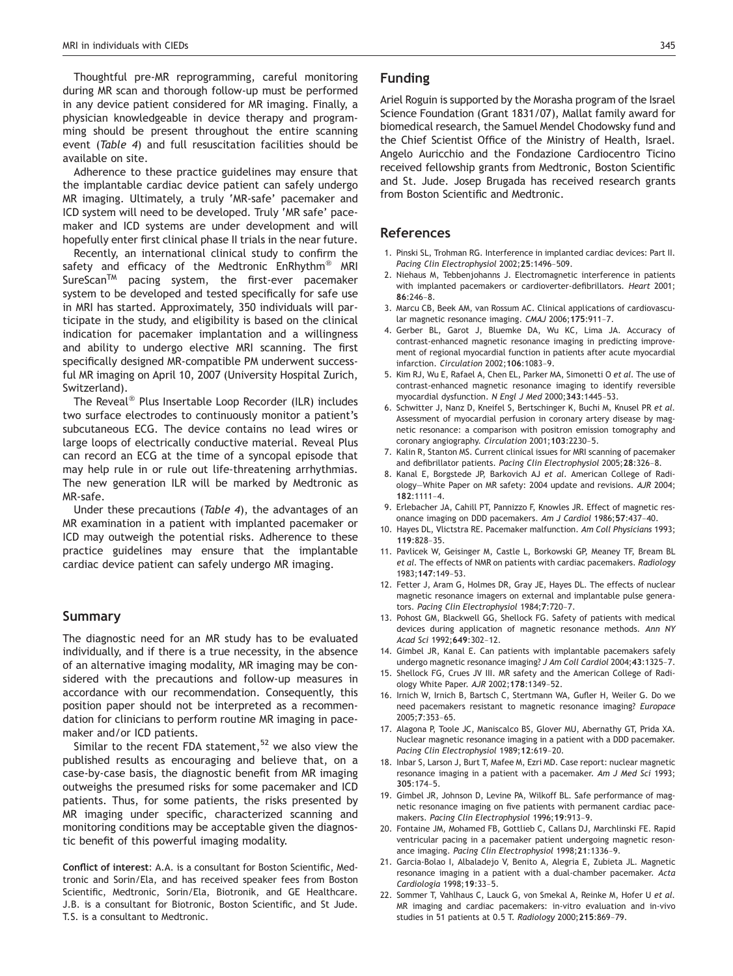Thoughtful pre-MR reprogramming, careful monitoring during MR scan and thorough follow-up must be performed in any device patient considered for MR imaging. Finally, a physician knowledgeable in device therapy and programming should be present throughout the entire scanning event (Table 4) and full resuscitation facilities should be available on site.

Adherence to these practice guidelines may ensure that the implantable cardiac device patient can safely undergo MR imaging. Ultimately, a truly 'MR-safe' pacemaker and ICD system will need to be developed. Truly 'MR safe' pacemaker and ICD systems are under development and will hopefully enter first clinical phase II trials in the near future.

Recently, an international clinical study to confirm the safety and efficacy of the Medtronic  $EnRhythm^@$  MRI SureScan™ pacing system, the first-ever pacemaker system to be developed and tested specifically for safe use in MRI has started. Approximately, 350 individuals will participate in the study, and eligibility is based on the clinical indication for pacemaker implantation and a willingness and ability to undergo elective MRI scanning. The first specifically designed MR-compatible PM underwent successful MR imaging on April 10, 2007 (University Hospital Zurich, Switzerland).

The Reveal® Plus Insertable Loop Recorder (ILR) includes two surface electrodes to continuously monitor a patient's subcutaneous ECG. The device contains no lead wires or large loops of electrically conductive material. Reveal Plus can record an ECG at the time of a syncopal episode that may help rule in or rule out life-threatening arrhythmias. The new generation ILR will be marked by Medtronic as MR-safe.

Under these precautions (Table 4), the advantages of an MR examination in a patient with implanted pacemaker or ICD may outweigh the potential risks. Adherence to these practice guidelines may ensure that the implantable cardiac device patient can safely undergo MR imaging.

#### Summary

The diagnostic need for an MR study has to be evaluated individually, and if there is a true necessity, in the absence of an alternative imaging modality, MR imaging may be considered with the precautions and follow-up measures in accordance with our recommendation. Consequently, this position paper should not be interpreted as a recommendation for clinicians to perform routine MR imaging in pacemaker and/or ICD patients.

Similar to the recent FDA statement,  $52$  we also view the published results as encouraging and believe that, on a case-by-case basis, the diagnostic benefit from MR imaging outweighs the presumed risks for some pacemaker and ICD patients. Thus, for some patients, the risks presented by MR imaging under specific, characterized scanning and monitoring conditions may be acceptable given the diagnostic benefit of this powerful imaging modality.

Conflict of interest: A.A. is a consultant for Boston Scientific, Medtronic and Sorin/Ela, and has received speaker fees from Boston Scientific, Medtronic, Sorin/Ela, Biotronik, and GE Healthcare. J.B. is a consultant for Biotronic, Boston Scientific, and St Jude. T.S. is a consultant to Medtronic.

#### Funding

Ariel Roguin is supported by the Morasha program of the Israel Science Foundation (Grant 1831/07), Mallat family award for biomedical research, the Samuel Mendel Chodowsky fund and the Chief Scientist Office of the Ministry of Health, Israel. Angelo Auricchio and the Fondazione Cardiocentro Ticino received fellowship grants from Medtronic, Boston Scientific and St. Jude. Josep Brugada has received research grants from Boston Scientific and Medtronic.

# References

- 1. Pinski SL, Trohman RG. Interference in implanted cardiac devices: Part II. Pacing Clin Electrophysiol 2002;<sup>25</sup>:1496–509.
- 2. Niehaus M, Tebbenjohanns J. Electromagnetic interference in patients with implanted pacemakers or cardioverter-defibrillators. Heart 2001; <sup>86</sup>:246–8.
- 3. Marcu CB, Beek AM, van Rossum AC. Clinical applications of cardiovascular magnetic resonance imaging. CMAJ 2006;<sup>175</sup>:911–7.
- 4. Gerber BL, Garot J, Bluemke DA, Wu KC, Lima JA. Accuracy of contrast-enhanced magnetic resonance imaging in predicting improvement of regional myocardial function in patients after acute myocardial infarction. Circulation 2002;<sup>106</sup>:1083–9.
- 5. Kim RJ, Wu E, Rafael A, Chen EL, Parker MA, Simonetti O et al. The use of contrast-enhanced magnetic resonance imaging to identify reversible myocardial dysfunction. N Engl J Med 2000;<sup>343</sup>:1445–53.
- 6. Schwitter J, Nanz D, Kneifel S, Bertschinger K, Buchi M, Knusel PR et al. Assessment of myocardial perfusion in coronary artery disease by magnetic resonance: a comparison with positron emission tomography and coronary angiography. Circulation 2001;<sup>103</sup>:2230–5.
- 7. Kalin R, Stanton MS. Current clinical issues for MRI scanning of pacemaker and defibrillator patients. Pacing Clin Electrophysiol 2005;<sup>28</sup>:326–8.
- Kanal E, Borgstede JP, Barkovich AJ et al. American College of Radiology—White Paper on MR safety: 2004 update and revisions. AJR 2004; <sup>182</sup>:1111–4.
- 9. Erlebacher JA, Cahill PT, Pannizzo F, Knowles JR. Effect of magnetic resonance imaging on DDD pacemakers. Am J Cardiol 1986;<sup>57</sup>:437–40.
- 10. Hayes DL, Vlictstra RE. Pacemaker malfunction. Am Coll Physicians 1993; <sup>119</sup>:828–35.
- 11. Pavlicek W, Geisinger M, Castle L, Borkowski GP, Meaney TF, Bream BL et al. The effects of NMR on patients with cardiac pacemakers. Radiology 1983;<sup>147</sup>:149–53.
- 12. Fetter J, Aram G, Holmes DR, Gray JE, Hayes DL. The effects of nuclear magnetic resonance imagers on external and implantable pulse generators. Pacing Clin Electrophysiol 1984;<sup>7</sup>:720–7.
- 13. Pohost GM, Blackwell GG, Shellock FG. Safety of patients with medical devices during application of magnetic resonance methods. Ann NY Acad Sci 1992;<sup>649</sup>:302–12.
- 14. Gimbel JR, Kanal E. Can patients with implantable pacemakers safely undergo magnetic resonance imaging? J Am Coll Cardiol 2004;<sup>43</sup>:1325–7.
- 15. Shellock FG, Crues JV III. MR safety and the American College of Radiology White Paper. AJR 2002;<sup>178</sup>:1349–52.
- 16. Irnich W, Irnich B, Bartsch C, Stertmann WA, Gufler H, Weiler G. Do we need pacemakers resistant to magnetic resonance imaging? Europace  $2005:7:353-65$
- 17. Alagona P, Toole JC, Maniscalco BS, Glover MU, Abernathy GT, Prida XA. Nuclear magnetic resonance imaging in a patient with a DDD pacemaker. Pacing Clin Electrophysiol 1989;<sup>12</sup>:619–20.
- 18. Inbar S, Larson J, Burt T, Mafee M, Ezri MD. Case report: nuclear magnetic resonance imaging in a patient with a pacemaker. Am J Med Sci 1993; <sup>305</sup>:174–5.
- 19. Gimbel JR, Johnson D, Levine PA, Wilkoff BL. Safe performance of magnetic resonance imaging on five patients with permanent cardiac pacemakers. Pacing Clin Electrophysiol 1996;<sup>19</sup>:913–9.
- 20. Fontaine JM, Mohamed FB, Gottlieb C, Callans DJ, Marchlinski FE. Rapid ventricular pacing in a pacemaker patient undergoing magnetic resonance imaging. Pacing Clin Electrophysiol 1998;<sup>21</sup>:1336–9.
- 21. Garcia-Bolao I, Albaladejo V, Benito A, Alegria E, Zubieta JL. Magnetic resonance imaging in a patient with a dual-chamber pacemaker. Acta Cardiologia 1998;<sup>19</sup>:33–5.
- 22. Sommer T, Vahlhaus C, Lauck G, von Smekal A, Reinke M, Hofer U et al. MR imaging and cardiac pacemakers: in-vitro evaluation and in-vivo studies in 51 patients at 0.5 T. Radiology 2000;<sup>215</sup>:869–79.